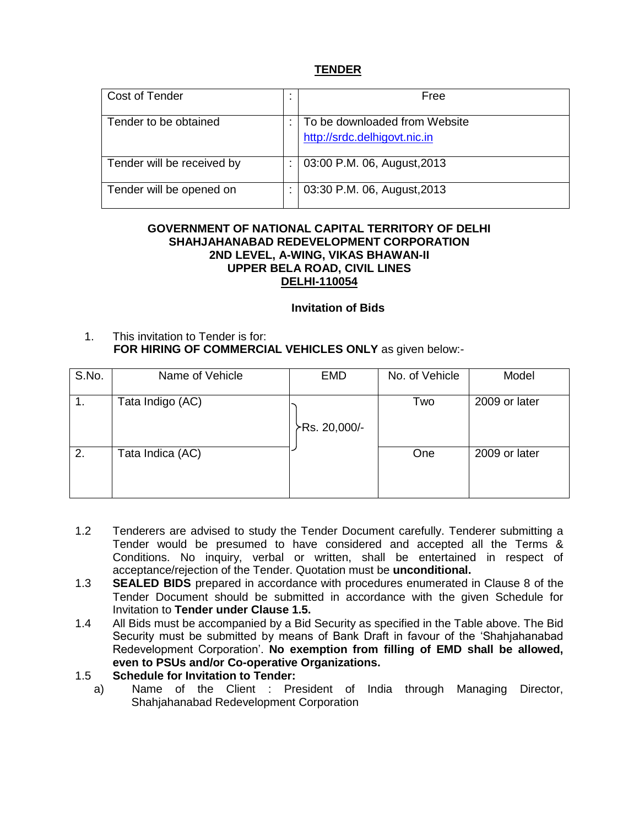## **TENDER**

| Cost of Tender             | Free                          |
|----------------------------|-------------------------------|
|                            |                               |
| Tender to be obtained      | To be downloaded from Website |
|                            | http://srdc.delhigovt.nic.in  |
|                            |                               |
| Tender will be received by | 03:00 P.M. 06, August, 2013   |
|                            |                               |
| Tender will be opened on   | 03:30 P.M. 06, August, 2013   |
|                            |                               |

### **GOVERNMENT OF NATIONAL CAPITAL TERRITORY OF DELHI SHAHJAHANABAD REDEVELOPMENT CORPORATION 2ND LEVEL, A-WING, VIKAS BHAWAN-II UPPER BELA ROAD, CIVIL LINES DELHI-110054**

### **Invitation of Bids**

1. This invitation to Tender is for:  **FOR HIRING OF COMMERCIAL VEHICLES ONLY** as given below:-

| S.No. | Name of Vehicle  | <b>EMD</b>    | No. of Vehicle | Model         |
|-------|------------------|---------------|----------------|---------------|
| 1.    | Tata Indigo (AC) |               | Two            | 2009 or later |
|       |                  | ≻Rs. 20,000/- |                |               |
| 2.    | Tata Indica (AC) |               | One            | 2009 or later |

- 1.2 Tenderers are advised to study the Tender Document carefully. Tenderer submitting a Tender would be presumed to have considered and accepted all the Terms & Conditions. No inquiry, verbal or written, shall be entertained in respect of acceptance/rejection of the Tender. Quotation must be **unconditional.**
- 1.3 **SEALED BIDS** prepared in accordance with procedures enumerated in Clause 8 of the Tender Document should be submitted in accordance with the given Schedule for Invitation to **Tender under Clause 1.5.**
- 1.4 All Bids must be accompanied by a Bid Security as specified in the Table above. The Bid Security must be submitted by means of Bank Draft in favour of the 'Shahjahanabad Redevelopment Corporation'. **No exemption from filling of EMD shall be allowed, even to PSUs and/or Co-operative Organizations.**

## 1.5 **Schedule for Invitation to Tender:**

a) Name of the Client : President of India through Managing Director, Shahjahanabad Redevelopment Corporation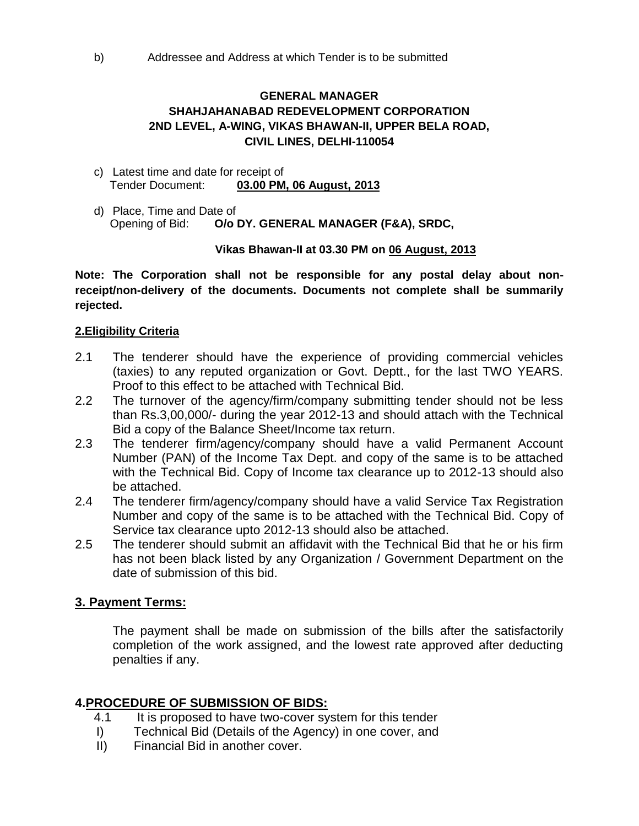# **GENERAL MANAGER SHAHJAHANABAD REDEVELOPMENT CORPORATION 2ND LEVEL, A-WING, VIKAS BHAWAN-II, UPPER BELA ROAD, CIVIL LINES, DELHI-110054**

- c) Latest time and date for receipt of Tender Document: **03.00 PM, 06 August, 2013**
- d) Place, Time and Date of Opening of Bid: **O/o DY. GENERAL MANAGER (F&A), SRDC,**

# **Vikas Bhawan-II at 03.30 PM on 06 August, 2013**

**Note: The Corporation shall not be responsible for any postal delay about nonreceipt/non-delivery of the documents. Documents not complete shall be summarily rejected.**

## **2.Eligibility Criteria**

- 2.1 The tenderer should have the experience of providing commercial vehicles (taxies) to any reputed organization or Govt. Deptt., for the last TWO YEARS. Proof to this effect to be attached with Technical Bid.
- 2.2 The turnover of the agency/firm/company submitting tender should not be less than Rs.3,00,000/- during the year 2012-13 and should attach with the Technical Bid a copy of the Balance Sheet/Income tax return.
- 2.3 The tenderer firm/agency/company should have a valid Permanent Account Number (PAN) of the Income Tax Dept. and copy of the same is to be attached with the Technical Bid. Copy of Income tax clearance up to 2012-13 should also be attached.
- 2.4 The tenderer firm/agency/company should have a valid Service Tax Registration Number and copy of the same is to be attached with the Technical Bid. Copy of Service tax clearance upto 2012-13 should also be attached.
- 2.5 The tenderer should submit an affidavit with the Technical Bid that he or his firm has not been black listed by any Organization / Government Department on the date of submission of this bid.

# **3. Payment Terms:**

The payment shall be made on submission of the bills after the satisfactorily completion of the work assigned, and the lowest rate approved after deducting penalties if any.

# **4.PROCEDURE OF SUBMISSION OF BIDS:**

- 4.1 It is proposed to have two-cover system for this tender
- I) Technical Bid (Details of the Agency) in one cover, and
- II) Financial Bid in another cover.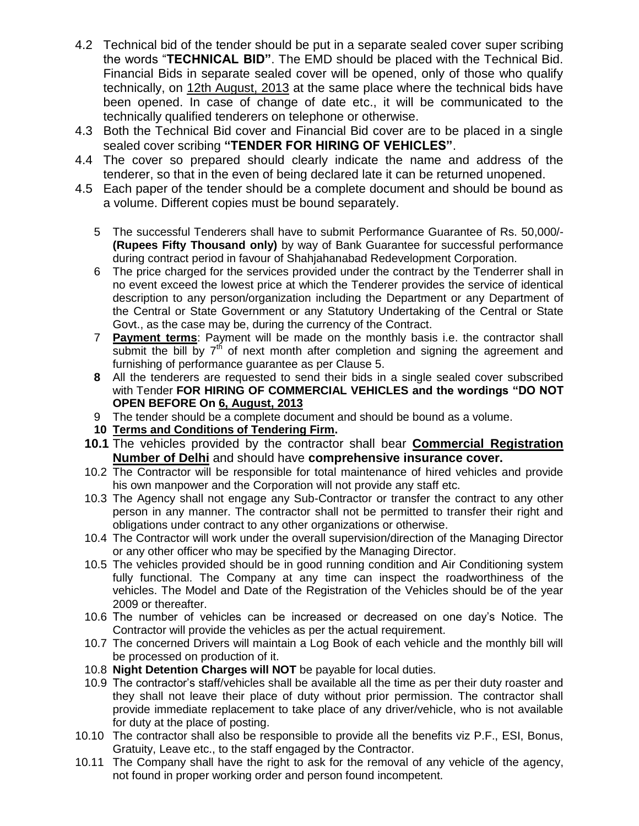- 4.2 Technical bid of the tender should be put in a separate sealed cover super scribing the words "**TECHNICAL BID"**. The EMD should be placed with the Technical Bid. Financial Bids in separate sealed cover will be opened, only of those who qualify technically, on 12th August, 2013 at the same place where the technical bids have been opened. In case of change of date etc., it will be communicated to the technically qualified tenderers on telephone or otherwise.
- 4.3 Both the Technical Bid cover and Financial Bid cover are to be placed in a single sealed cover scribing **"TENDER FOR HIRING OF VEHICLES"**.
- 4.4 The cover so prepared should clearly indicate the name and address of the tenderer, so that in the even of being declared late it can be returned unopened.
- 4.5 Each paper of the tender should be a complete document and should be bound as a volume. Different copies must be bound separately.
	- 5 The successful Tenderers shall have to submit Performance Guarantee of Rs. 50,000/- **(Rupees Fifty Thousand only)** by way of Bank Guarantee for successful performance during contract period in favour of Shahjahanabad Redevelopment Corporation.
	- 6 The price charged for the services provided under the contract by the Tenderrer shall in no event exceed the lowest price at which the Tenderer provides the service of identical description to any person/organization including the Department or any Department of the Central or State Government or any Statutory Undertaking of the Central or State Govt., as the case may be, during the currency of the Contract.
	- 7 **Payment terms**: Payment will be made on the monthly basis i.e. the contractor shall submit the bill by  $7<sup>th</sup>$  of next month after completion and signing the agreement and furnishing of performance guarantee as per Clause 5.
	- **8** All the tenderers are requested to send their bids in a single sealed cover subscribed with Tender **FOR HIRING OF COMMERCIAL VEHICLES and the wordings "DO NOT OPEN BEFORE On 6, August, 2013**
	- 9 The tender should be a complete document and should be bound as a volume.
	- **10 Terms and Conditions of Tendering Firm.**
	- **10.1** The vehicles provided by the contractor shall bear **Commercial Registration Number of Delhi** and should have **comprehensive insurance cover.**
	- 10.2 The Contractor will be responsible for total maintenance of hired vehicles and provide his own manpower and the Corporation will not provide any staff etc.
	- 10.3 The Agency shall not engage any Sub-Contractor or transfer the contract to any other person in any manner. The contractor shall not be permitted to transfer their right and obligations under contract to any other organizations or otherwise.
	- 10.4 The Contractor will work under the overall supervision/direction of the Managing Director or any other officer who may be specified by the Managing Director.
	- 10.5 The vehicles provided should be in good running condition and Air Conditioning system fully functional. The Company at any time can inspect the roadworthiness of the vehicles. The Model and Date of the Registration of the Vehicles should be of the year 2009 or thereafter.
	- 10.6 The number of vehicles can be increased or decreased on one day's Notice. The Contractor will provide the vehicles as per the actual requirement.
	- 10.7 The concerned Drivers will maintain a Log Book of each vehicle and the monthly bill will be processed on production of it.
	- 10.8 **Night Detention Charges will NOT** be payable for local duties.
	- 10.9 The contractor's staff/vehicles shall be available all the time as per their duty roaster and they shall not leave their place of duty without prior permission. The contractor shall provide immediate replacement to take place of any driver/vehicle, who is not available for duty at the place of posting.
- 10.10 The contractor shall also be responsible to provide all the benefits viz P.F., ESI, Bonus, Gratuity, Leave etc., to the staff engaged by the Contractor.
- 10.11 The Company shall have the right to ask for the removal of any vehicle of the agency, not found in proper working order and person found incompetent.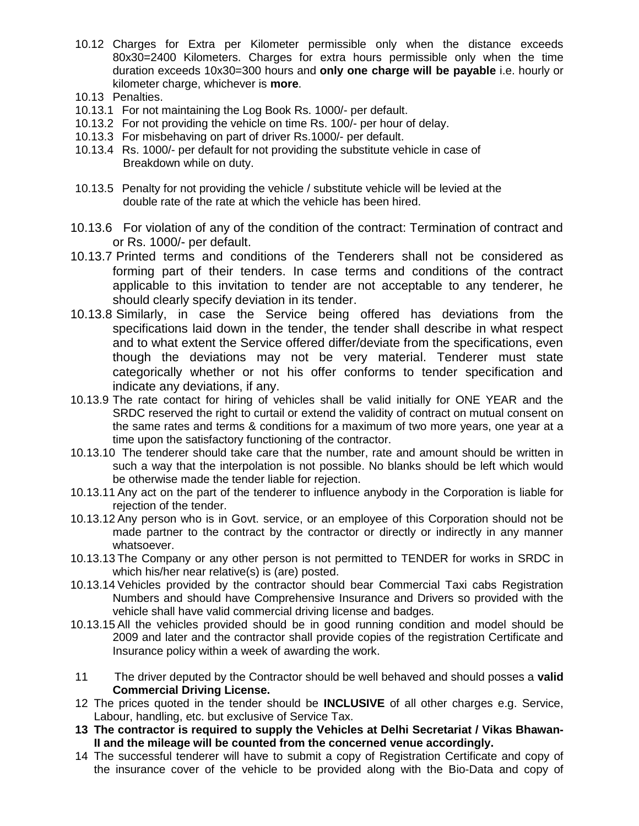- 10.12 Charges for Extra per Kilometer permissible only when the distance exceeds 80x30=2400 Kilometers. Charges for extra hours permissible only when the time duration exceeds 10x30=300 hours and **only one charge will be payable** i.e. hourly or kilometer charge, whichever is **more**.
- 10.13 Penalties.
- 10.13.1 For not maintaining the Log Book Rs. 1000/- per default.
- 10.13.2 For not providing the vehicle on time Rs. 100/- per hour of delay.
- 10.13.3 For misbehaving on part of driver Rs.1000/- per default.
- 10.13.4 Rs. 1000/- per default for not providing the substitute vehicle in case of Breakdown while on duty.
- 10.13.5 Penalty for not providing the vehicle / substitute vehicle will be levied at the double rate of the rate at which the vehicle has been hired.
- 10.13.6 For violation of any of the condition of the contract: Termination of contract and or Rs. 1000/- per default.
- 10.13.7 Printed terms and conditions of the Tenderers shall not be considered as forming part of their tenders. In case terms and conditions of the contract applicable to this invitation to tender are not acceptable to any tenderer, he should clearly specify deviation in its tender.
- 10.13.8 Similarly, in case the Service being offered has deviations from the specifications laid down in the tender, the tender shall describe in what respect and to what extent the Service offered differ/deviate from the specifications, even though the deviations may not be very material. Tenderer must state categorically whether or not his offer conforms to tender specification and indicate any deviations, if any.
- 10.13.9 The rate contact for hiring of vehicles shall be valid initially for ONE YEAR and the SRDC reserved the right to curtail or extend the validity of contract on mutual consent on the same rates and terms & conditions for a maximum of two more years, one year at a time upon the satisfactory functioning of the contractor.
- 10.13.10 The tenderer should take care that the number, rate and amount should be written in such a way that the interpolation is not possible. No blanks should be left which would be otherwise made the tender liable for rejection.
- 10.13.11 Any act on the part of the tenderer to influence anybody in the Corporation is liable for rejection of the tender.
- 10.13.12 Any person who is in Govt. service, or an employee of this Corporation should not be made partner to the contract by the contractor or directly or indirectly in any manner whatsoever.
- 10.13.13 The Company or any other person is not permitted to TENDER for works in SRDC in which his/her near relative(s) is (are) posted.
- 10.13.14 Vehicles provided by the contractor should bear Commercial Taxi cabs Registration Numbers and should have Comprehensive Insurance and Drivers so provided with the vehicle shall have valid commercial driving license and badges.
- 10.13.15 All the vehicles provided should be in good running condition and model should be 2009 and later and the contractor shall provide copies of the registration Certificate and Insurance policy within a week of awarding the work.
- 11 The driver deputed by the Contractor should be well behaved and should posses a **valid Commercial Driving License.**
- 12 The prices quoted in the tender should be **INCLUSIVE** of all other charges e.g. Service, Labour, handling, etc. but exclusive of Service Tax.
- **13 The contractor is required to supply the Vehicles at Delhi Secretariat / Vikas Bhawan-II and the mileage will be counted from the concerned venue accordingly.**
- 14 The successful tenderer will have to submit a copy of Registration Certificate and copy of the insurance cover of the vehicle to be provided along with the Bio-Data and copy of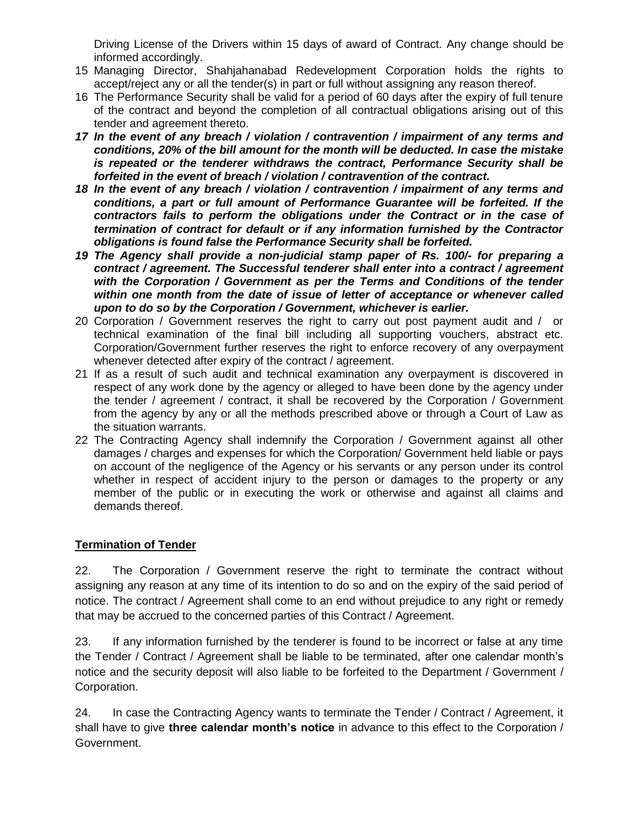Driving License of the Drivers within 15 days of award of Contract. Any change should be informed accordingly.

- 15 Managing Director, Shahjahanabad Redevelopment Corporation holds the rights to accept/reject any or all the tender(s) in part or full without assigning any reason thereof.
- 16 The Performance Security shall be valid for a period of 60 days after the expiry of full tenure of the contract and beyond the completion of all contractual obligations arising out of this tender and agreement thereto.
- *17 In the event of any breach / violation / contravention / impairment of any terms and conditions, 20% of the bill amount for the month will be deducted. In case the mistake is repeated or the tenderer withdraws the contract, Performance Security shall be forfeited in the event of breach / violation / contravention of the contract.*
- *18 In the event of any breach / violation / contravention / impairment of any terms and conditions, a part or full amount of Performance Guarantee will be forfeited. If the contractors fails to perform the obligations under the Contract or in the case of termination of contract for default or if any information furnished by the Contractor obligations is found false the Performance Security shall be forfeited.*
- *19 The Agency shall provide a non-judicial stamp paper of Rs. 100/- for preparing a contract / agreement. The Successful tenderer shall enter into a contract / agreement with the Corporation / Government as per the Terms and Conditions of the tender within one month from the date of issue of letter of acceptance or whenever called upon to do so by the Corporation / Government, whichever is earlier.*
- 20 Corporation / Government reserves the right to carry out post payment audit and / or technical examination of the final bill including all supporting vouchers, abstract etc. Corporation/Government further reserves the right to enforce recovery of any overpayment whenever detected after expiry of the contract / agreement.
- 21 If as a result of such audit and technical examination any overpayment is discovered in respect of any work done by the agency or alleged to have been done by the agency under the tender / agreement / contract, it shall be recovered by the Corporation / Government from the agency by any or all the methods prescribed above or through a Court of Law as the situation warrants.
- 22 The Contracting Agency shall indemnify the Corporation / Government against all other damages / charges and expenses for which the Corporation/ Government held liable or pays on account of the negligence of the Agency or his servants or any person under its control whether in respect of accident injury to the person or damages to the property or any member of the public or in executing the work or otherwise and against all claims and demands thereof.

## **Termination of Tender**

22. The Corporation / Government reserve the right to terminate the contract without assigning any reason at any time of its intention to do so and on the expiry of the said period of notice. The contract / Agreement shall come to an end without prejudice to any right or remedy that may be accrued to the concerned parties of this Contract / Agreement.

23. If any information furnished by the tenderer is found to be incorrect or false at any time the Tender / Contract / Agreement shall be liable to be terminated, after one calendar month's notice and the security deposit will also liable to be forfeited to the Department / Government / Corporation.

24. In case the Contracting Agency wants to terminate the Tender / Contract / Agreement, it shall have to give **three calendar month's notice** in advance to this effect to the Corporation / Government.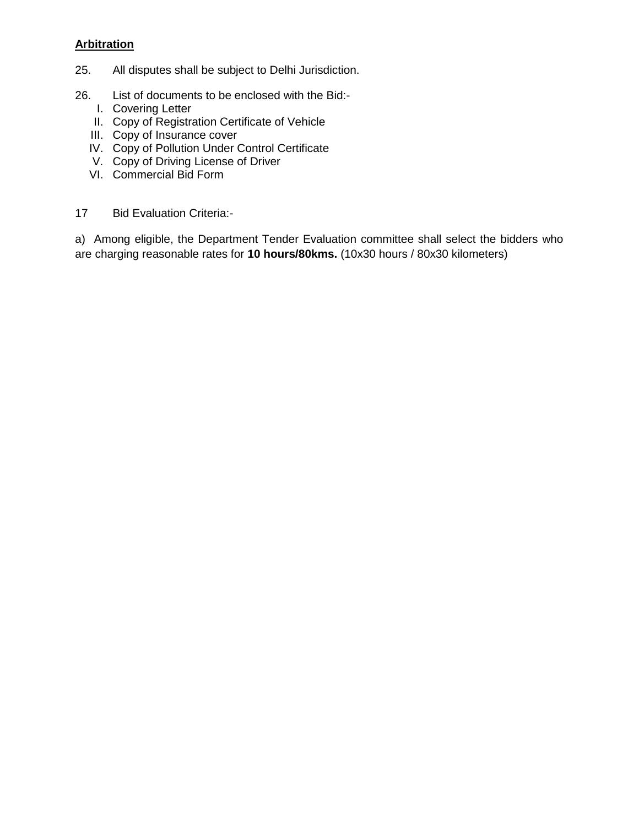# **Arbitration**

- 25. All disputes shall be subject to Delhi Jurisdiction.
- 26. List of documents to be enclosed with the Bid:-
	- I. Covering Letter
	- II. Copy of Registration Certificate of Vehicle
	- III. Copy of Insurance cover
	- IV. Copy of Pollution Under Control Certificate
	- V. Copy of Driving License of Driver
	- VI. Commercial Bid Form
- 17 Bid Evaluation Criteria:-

a) Among eligible, the Department Tender Evaluation committee shall select the bidders who are charging reasonable rates for **10 hours/80kms.** (10x30 hours / 80x30 kilometers)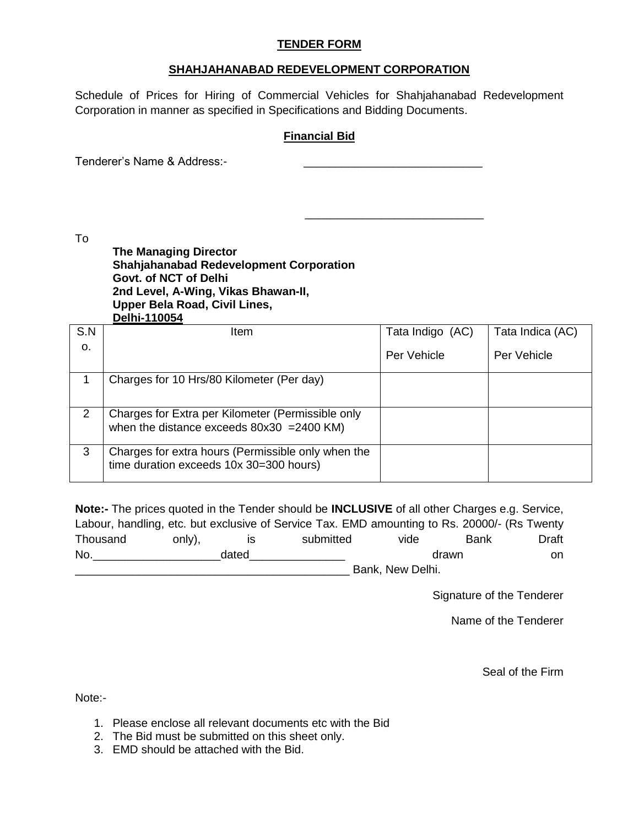### **TENDER FORM**

### **SHAHJAHANABAD REDEVELOPMENT CORPORATION**

Schedule of Prices for Hiring of Commercial Vehicles for Shahjahanabad Redevelopment Corporation in manner as specified in Specifications and Bidding Documents.

### **Financial Bid**

 $\_$ 

Tenderer's Name & Address:-

To

**The Managing Director Shahjahanabad Redevelopment Corporation Govt. of NCT of Delhi 2nd Level, A-Wing, Vikas Bhawan-II, Upper Bela Road, Civil Lines, Delhi-110054**

| S.N            | Item                                                                                              | Tata Indigo (AC) | Tata Indica (AC) |
|----------------|---------------------------------------------------------------------------------------------------|------------------|------------------|
| O <sub>r</sub> |                                                                                                   | Per Vehicle      | Per Vehicle      |
|                | Charges for 10 Hrs/80 Kilometer (Per day)                                                         |                  |                  |
| 2              | Charges for Extra per Kilometer (Permissible only<br>when the distance exceeds $80x30 = 2400$ KM) |                  |                  |
| 3              | Charges for extra hours (Permissible only when the<br>time duration exceeds 10x 30=300 hours)     |                  |                  |

**Note:-** The prices quoted in the Tender should be **INCLUSIVE** of all other Charges e.g. Service, Labour, handling, etc. but exclusive of Service Tax. EMD amounting to Rs. 20000/- (Rs Twenty Thousand only), is submitted vide Bank Draft No.\_\_\_\_\_\_\_\_\_\_\_\_\_\_\_\_\_\_\_\_dated\_\_\_\_\_\_\_\_\_\_\_\_\_\_\_ drawn on Bank, New Delhi.

Signature of the Tenderer

Name of the Tenderer

Seal of the Firm

Note:-

- 1. Please enclose all relevant documents etc with the Bid
- 2. The Bid must be submitted on this sheet only.
- 3. EMD should be attached with the Bid.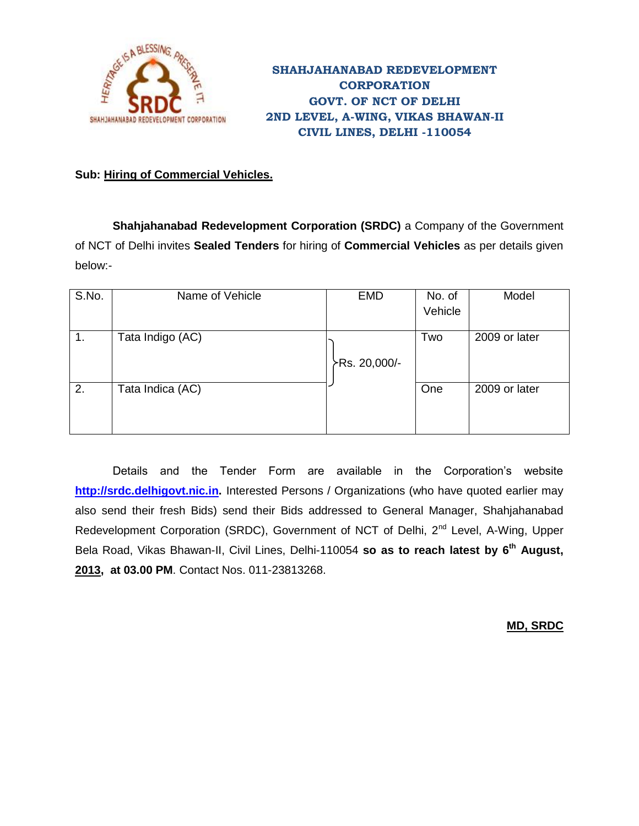

# **SHAHJAHANABAD REDEVELOPMENT CORPORATION GOVT. OF NCT OF DELHI 2ND LEVEL, A-WING, VIKAS BHAWAN-II CIVIL LINES, DELHI -110054**

# **Sub: Hiring of Commercial Vehicles.**

**Shahjahanabad Redevelopment Corporation (SRDC)** a Company of the Government of NCT of Delhi invites **Sealed Tenders** for hiring of **Commercial Vehicles** as per details given below:-

| S.No. | Name of Vehicle  | <b>EMD</b>    | No. of<br>Vehicle | Model         |
|-------|------------------|---------------|-------------------|---------------|
| 1.    | Tata Indigo (AC) | >Rs. 20,000/- | Two               | 2009 or later |
| 2.    | Tata Indica (AC) |               | One               | 2009 or later |

Details and the Tender Form are available in the Corporation's website **[http://srdc.delhigovt.nic.in.](http://srdc.delhigovt.nic.in/)** Interested Persons / Organizations (who have quoted earlier may also send their fresh Bids) send their Bids addressed to General Manager, Shahjahanabad Redevelopment Corporation (SRDC), Government of NCT of Delhi, 2<sup>nd</sup> Level, A-Wing, Upper Bela Road, Vikas Bhawan-II, Civil Lines, Delhi-110054 **so as to reach latest by 6 th August, 2013, at 03.00 PM**. Contact Nos. 011-23813268.

**MD, SRDC**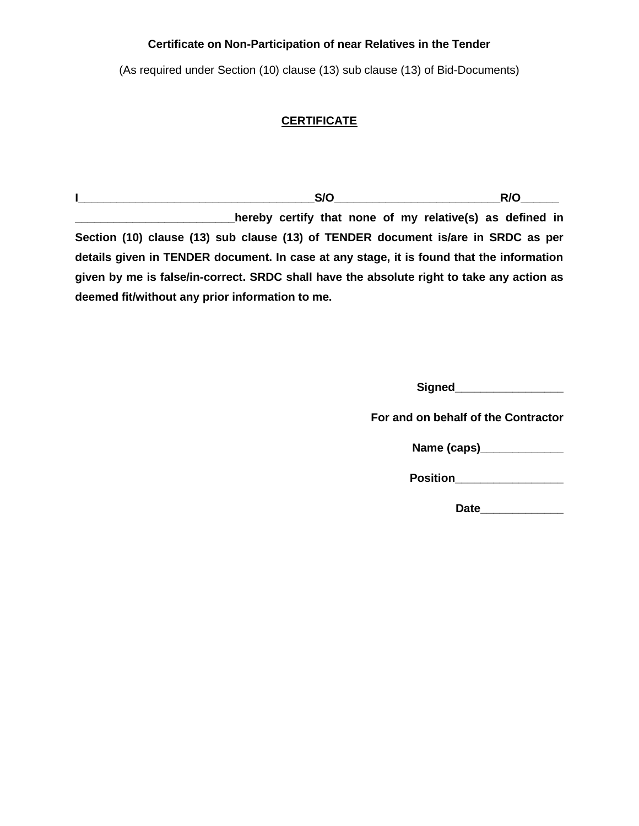## **Certificate on Non-Participation of near Relatives in the Tender**

(As required under Section (10) clause (13) sub clause (13) of Bid-Documents)

# **CERTIFICATE**

**I\_\_\_\_\_\_\_\_\_\_\_\_\_\_\_\_\_\_\_\_\_\_\_\_\_\_\_\_\_\_\_\_\_\_\_\_\_S/O\_\_\_\_\_\_\_\_\_\_\_\_\_\_\_\_\_\_\_\_\_\_\_\_\_\_R/O\_\_\_\_\_\_ \_\_\_\_\_\_\_\_\_\_\_\_\_\_\_\_\_hereby certify that none of my relative(s) as defined in Section (10) clause (13) sub clause (13) of TENDER document is/are in SRDC as per details given in TENDER document. In case at any stage, it is found that the information given by me is false/in-correct. SRDC shall have the absolute right to take any action as deemed fit/without any prior information to me.**

**Signed\_\_\_\_\_\_\_\_\_\_\_\_\_\_\_\_\_**

**For and on behalf of the Contractor**

**Name (caps)\_\_\_\_\_\_\_\_\_\_\_\_\_**

**Position** 

**Date\_\_\_\_\_\_\_\_\_\_\_\_\_**